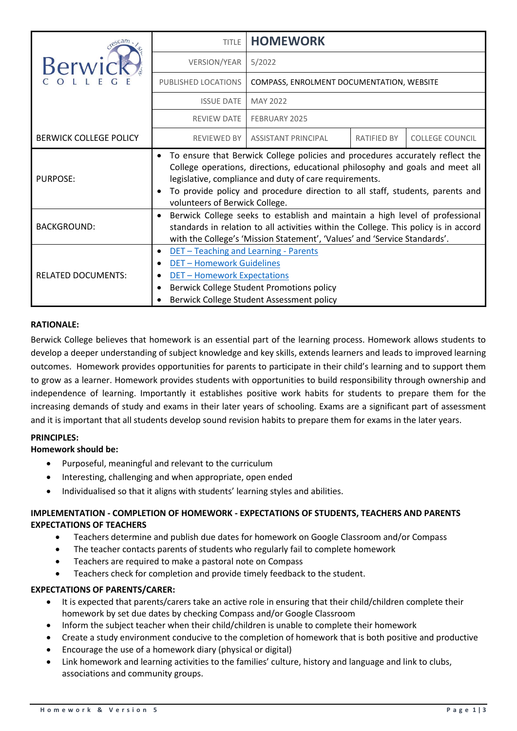|                               | <b>TITLE</b>                                                                                                                                                                                                                                                                                                                                | <b>HOMEWORK</b>                           |             |                        |  |
|-------------------------------|---------------------------------------------------------------------------------------------------------------------------------------------------------------------------------------------------------------------------------------------------------------------------------------------------------------------------------------------|-------------------------------------------|-------------|------------------------|--|
|                               | <b>VERSION/YEAR</b>                                                                                                                                                                                                                                                                                                                         | 5/2022                                    |             |                        |  |
|                               | PUBLISHED LOCATIONS                                                                                                                                                                                                                                                                                                                         | COMPASS, ENROLMENT DOCUMENTATION, WEBSITE |             |                        |  |
|                               | <b>ISSUE DATE</b>                                                                                                                                                                                                                                                                                                                           | MAY 2022                                  |             |                        |  |
|                               | <b>REVIEW DATE</b>                                                                                                                                                                                                                                                                                                                          | FEBRUARY 2025                             |             |                        |  |
| <b>BERWICK COLLEGE POLICY</b> | <b>REVIEWED BY</b>                                                                                                                                                                                                                                                                                                                          | <b>ASSISTANT PRINCIPAL</b>                | RATIFIED BY | <b>COLLEGE COUNCIL</b> |  |
| <b>PURPOSE:</b>               | To ensure that Berwick College policies and procedures accurately reflect the<br>College operations, directions, educational philosophy and goals and meet all<br>legislative, compliance and duty of care requirements.<br>To provide policy and procedure direction to all staff, students, parents and<br>volunteers of Berwick College. |                                           |             |                        |  |
| <b>BACKGROUND:</b>            | Berwick College seeks to establish and maintain a high level of professional<br>standards in relation to all activities within the College. This policy is in accord<br>with the College's 'Mission Statement', 'Values' and 'Service Standards'.                                                                                           |                                           |             |                        |  |
| <b>RELATED DOCUMENTS:</b>     | DET - Teaching and Learning - Parents<br>$\bullet$<br><b>DET-Homework Guidelines</b><br><b>DET - Homework Expectations</b><br>Berwick College Student Promotions policy<br>Berwick College Student Assessment policy                                                                                                                        |                                           |             |                        |  |

### **RATIONALE:**

Berwick College believes that homework is an essential part of the learning process. Homework allows students to develop a deeper understanding of subject knowledge and key skills, extends learners and leads to improved learning outcomes. Homework provides opportunities for parents to participate in their child's learning and to support them to grow as a learner. Homework provides students with opportunities to build responsibility through ownership and independence of learning. Importantly it establishes positive work habits for students to prepare them for the increasing demands of study and exams in their later years of schooling. Exams are a significant part of assessment and it is important that all students develop sound revision habits to prepare them for exams in the later years.

#### **PRINCIPLES:**

#### **Homework should be:**

- Purposeful, meaningful and relevant to the curriculum
- Interesting, challenging and when appropriate, open ended
- Individualised so that it aligns with students' learning styles and abilities.

# **IMPLEMENTATION - COMPLETION OF HOMEWORK - EXPECTATIONS OF STUDENTS, TEACHERS AND PARENTS EXPECTATIONS OF TEACHERS**

- Teachers determine and publish due dates for homework on Google Classroom and/or Compass
- The teacher contacts parents of students who regularly fail to complete homework
- Teachers are required to make a pastoral note on Compass
- Teachers check for completion and provide timely feedback to the student.

#### **EXPECTATIONS OF PARENTS/CARER:**

- It is expected that parents/carers take an active role in ensuring that their child/children complete their homework by set due dates by checking Compass and/or Google Classroom
- Inform the subject teacher when their child/children is unable to complete their homework
- Create a study environment conducive to the completion of homework that is both positive and productive
- Encourage the use of a homework diary (physical or digital)
- Link homework and learning activities to the families' culture, history and language and link to clubs, associations and community groups.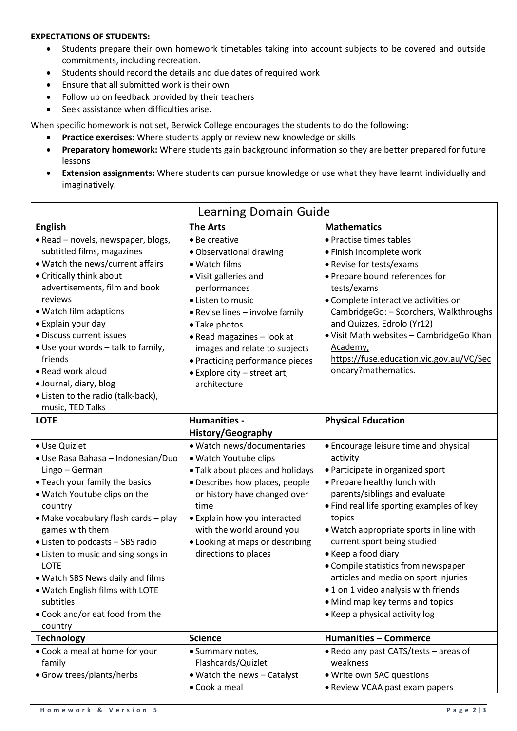### **EXPECTATIONS OF STUDENTS:**

- Students prepare their own homework timetables taking into account subjects to be covered and outside commitments, including recreation.
- Students should record the details and due dates of required work
- Ensure that all submitted work is their own
- Follow up on feedback provided by their teachers
- Seek assistance when difficulties arise.

When specific homework is not set, Berwick College encourages the students to do the following:

- **Practice exercises:** Where students apply or review new knowledge or skills
- **Preparatory homework:** Where students gain background information so they are better prepared for future lessons
- **Extension assignments:** Where students can pursue knowledge or use what they have learnt individually and imaginatively.

| <b>Learning Domain Guide</b>             |                                  |                                                   |  |  |
|------------------------------------------|----------------------------------|---------------------------------------------------|--|--|
| <b>English</b>                           | <b>The Arts</b>                  | <b>Mathematics</b>                                |  |  |
| • Read - novels, newspaper, blogs,       | • Be creative                    | • Practise times tables                           |  |  |
| subtitled films, magazines               | • Observational drawing          | · Finish incomplete work                          |  |  |
| . Watch the news/current affairs         | • Watch films                    | • Revise for tests/exams                          |  |  |
| • Critically think about                 | • Visit galleries and            | • Prepare bound references for                    |  |  |
| advertisements, film and book            | performances                     | tests/exams                                       |  |  |
| reviews                                  | • Listen to music                | • Complete interactive activities on              |  |  |
| · Watch film adaptions                   | • Revise lines - involve family  | CambridgeGo: - Scorchers, Walkthroughs            |  |  |
| • Explain your day                       | • Take photos                    | and Quizzes, Edrolo (Yr12)                        |  |  |
| · Discuss current issues                 | • Read magazines - look at       | · Visit Math websites - CambridgeGo Khan          |  |  |
| • Use your words - talk to family,       | images and relate to subjects    | Academy,                                          |  |  |
| friends                                  | • Practicing performance pieces  | https://fuse.education.vic.gov.au/VC/Sec          |  |  |
| • Read work aloud                        | • Explore city - street art,     | ondary?mathematics.                               |  |  |
| · Journal, diary, blog                   | architecture                     |                                                   |  |  |
| • Listen to the radio (talk-back),       |                                  |                                                   |  |  |
| music, TED Talks                         |                                  |                                                   |  |  |
| <b>LOTE</b>                              | Humanities -                     | <b>Physical Education</b>                         |  |  |
|                                          | <b>History/Geography</b>         |                                                   |  |  |
| · Use Quizlet                            | · Watch news/documentaries       | • Encourage leisure time and physical             |  |  |
| · Use Rasa Bahasa - Indonesian/Duo       | · Watch Youtube clips            | activity                                          |  |  |
| Lingo - German                           | . Talk about places and holidays | • Participate in organized sport                  |  |  |
| • Teach your family the basics           | · Describes how places, people   | • Prepare healthy lunch with                      |  |  |
| . Watch Youtube clips on the             | or history have changed over     | parents/siblings and evaluate                     |  |  |
| country                                  | time                             | • Find real life sporting examples of key         |  |  |
| • Make vocabulary flash cards - play     | • Explain how you interacted     | topics                                            |  |  |
| games with them                          | with the world around you        | . Watch appropriate sports in line with           |  |  |
| • Listen to podcasts - SBS radio         | • Looking at maps or describing  | current sport being studied                       |  |  |
| • Listen to music and sing songs in      | directions to places             | • Keep a food diary                               |  |  |
| <b>LOTE</b>                              |                                  | • Compile statistics from newspaper               |  |  |
| . Watch SBS News daily and films         |                                  | articles and media on sport injuries              |  |  |
| . Watch English films with LOTE          |                                  | • 1 on 1 video analysis with friends              |  |  |
| subtitles                                |                                  | • Mind map key terms and topics                   |  |  |
| . Cook and/or eat food from the          |                                  | • Keep a physical activity log                    |  |  |
| country                                  |                                  | <b>Humanities - Commerce</b>                      |  |  |
| <b>Technology</b>                        | <b>Science</b>                   |                                                   |  |  |
| • Cook a meal at home for your<br>family | • Summary notes,                 | • Redo any past CATS/tests – areas of<br>weakness |  |  |
|                                          | Flashcards/Quizlet               |                                                   |  |  |
| • Grow trees/plants/herbs                | • Watch the news - Catalyst      | . Write own SAC questions                         |  |  |
|                                          | • Cook a meal                    | • Review VCAA past exam papers                    |  |  |